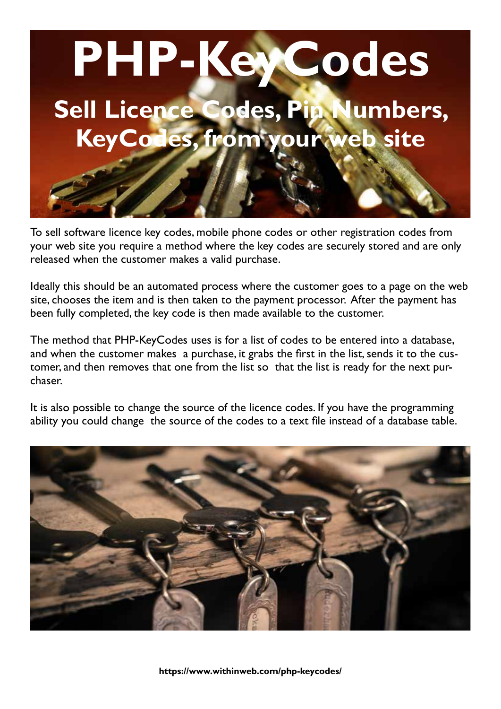

To sell software licence key codes, mobile phone codes or other registration codes from your web site you require a method where the key codes are securely stored and are only released when the customer makes a valid purchase.

Ideally this should be an automated process where the customer goes to a page on the web site, chooses the item and is then taken to the payment processor. After the payment has been fully completed, the key code is then made available to the customer.

The method that PHP-KeyCodes uses is for a list of codes to be entered into a database, and when the customer makes a purchase, it grabs the first in the list, sends it to the customer, and then removes that one from the list so that the list is ready for the next purchaser.

It is also possible to change the source of the licence codes. If you have the programming ability you could change the source of the codes to a text file instead of a database table.